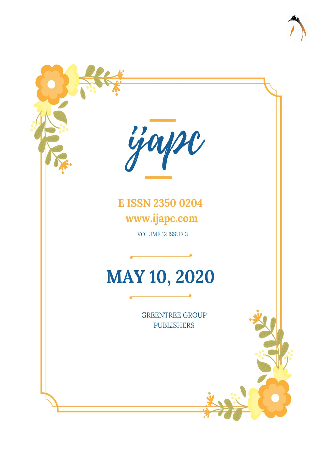

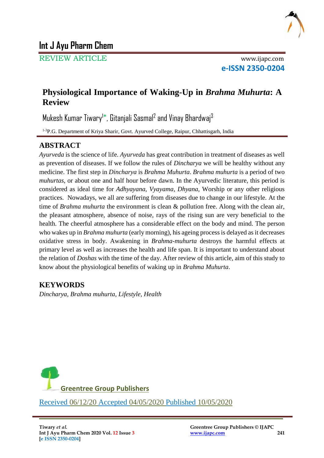

REVIEW ARTICLE www.ijapc.com

**e-ISSN 2350-0204**

# **Physiological Importance of Waking-Up in** *Brahma Muhurta***: A Review**

Mukesh Kumar Tiwary<sup>1\*</sup>, Gitanjali Sasmal<sup>2</sup> and Vinay Bhardwaj<sup>3</sup>

<sup>1-3</sup>P.G. Department of Kriya Sharir, Govt. Ayurved College, Raipur, Chhattisgarh, India

## **ABSTRACT**

*Ayurveda* is the science of life. *Ayurveda* has great contribution in treatment of diseases as well as prevention of diseases. If we follow the rules of *Dincharya* we will be healthy without any medicine. The first step in *Dincharya* is *Brahma Muhurta*. *Brahma muhurta* is a period of two *muhurtas*, or about one and half hour before dawn. In the Ayurvedic literature, this period is considered as ideal time for *Adhyayana*, *Vyayama*, *Dhyana*, Worship or any other religious practices. Nowadays, we all are suffering from diseases due to change in our lifestyle. At the time of *Brahma muhurta* the environment is clean & pollution free. Along with the clean air, the pleasant atmosphere, absence of noise, rays of the rising sun are very beneficial to the health. The cheerful atmosphere has a considerable effect on the body and mind. The person who wakes up in *Brahma muhurta* (early morning), his ageing process is delayed as it decreases oxidative stress in body. Awakening in *Brahma-muhurta* destroys the harmful effects at primary level as well as increases the health and life span. It is important to understand about the relation of *Doshas* with the time of the day. After review of this article, aim of this study to know about the physiological benefits of waking up in *Brahma Muhurta*.

\_\_\_\_\_\_\_\_\_\_\_\_\_\_\_\_\_\_\_\_\_\_\_\_\_\_\_\_\_\_\_\_\_\_\_\_\_\_\_\_\_\_\_\_\_\_\_\_\_\_\_\_\_\_\_\_\_\_\_\_\_\_\_\_

# **KEYWORDS**

*Dincharya, Brahma muhurta, Lifestyle, Health*

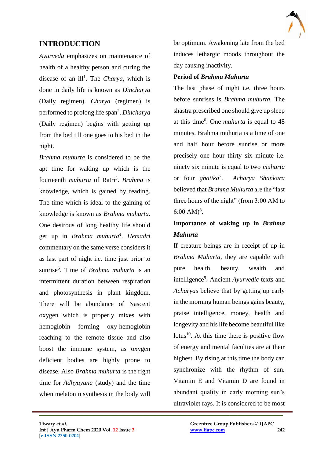## **INTRODUCTION**

*Ayurveda* emphasizes on maintenance of health of a healthy person and curing the disease of an ill<sup>1</sup>. The *Charya*, which is done in daily life is known as *Dincharya* (Daily regimen). *Charya* (regimen) is performed to prolong life span<sup>2</sup>. Dincharya (Daily regimen) begins with getting up from the bed till one goes to his bed in the night.

*Brahma muhurta* is considered to be the apt time for waking up which is the fourteenth *muhurta* of Ratri<sup>3</sup>. Brahma is knowledge, which is gained by reading. The time which is ideal to the gaining of knowledge is known as *Brahma muhurta*. One desirous of long healthy life should get up in *Brahma muhurta<sup>4</sup>* . *Hemadri* commentary on the same verse considers it as last part of night i.e. time just prior to sunrise<sup>5</sup> . Time of *Brahma muhurta* is an intermittent duration between respiration and photosynthesis in plant kingdom. There will be abundance of Nascent oxygen which is properly mixes with hemoglobin forming oxy-hemoglobin reaching to the remote tissue and also boost the immune system, as oxygen deficient bodies are highly prone to disease. Also *Brahma muhurta* is the right time for *Adhyayana* (study) and the time when melatonin synthesis in the body will

be optimum. Awakening late from the bed induces lethargic moods throughout the day causing inactivity.

#### **Period of** *Brahma Muhurta*

The last phase of night i.e. three hours before sunrises is *Brahma muhurta*. The shastra prescribed one should give up sleep at this time<sup>6</sup>. One *muhurta* is equal to 48 minutes. Brahma muhurta is a time of one and half hour before sunrise or more precisely one hour thirty six minute i.e. ninety six minute is equal to two *muhurta* or four *ghatika*<sup>7</sup> . *Acharya Shankara* believed that *Brahma Muhurta* are the "last three hours of the night" (from 3:00 AM to 6:00 AM $)^8$ .

# **Importance of waking up in** *Brahma Muhurta*

If creature beings are in receipt of up in *Brahma Muhurta*, they are capable with pure health, beauty, wealth and intelligence<sup>9</sup> . Ancient *Ayurvedic* texts and *Acharyas* believe that by getting up early in the morning human beings gains beauty, praise intelligence, money, health and longevity and his life become beautiful like lotus<sup>10</sup>. At this time there is positive flow of energy and mental faculties are at their highest. By rising at this time the body can synchronize with the rhythm of sun. Vitamin E and Vitamin D are found in abundant quality in early morning sun's ultraviolet rays. It is considered to be most

 $\mathcal{L}_\mathcal{L}$  , and the contribution of the contribution of the contribution of the contribution of the contribution of the contribution of the contribution of the contribution of the contribution of the contribution of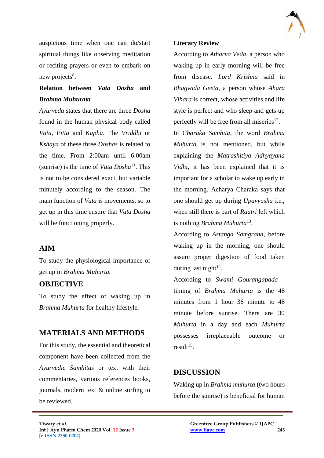

auspicious time when one can do/start spiritual things like observing meditation or reciting prayers or even to embark on new projects<sup>8</sup>.

# **Relation between** *Vata Dosha* **and**  *Brahma Muhurata*

*Ayurveda* states that there are three *Dosha*  found in the human physical body called *Vata, Pitta* and *Kapha*. The *Vriddhi* or *Kshaya* of these three *Doshas* is related to the time. From 2:00am until 6:00am (sunrise) is the time of *Vata Dosha*<sup>11</sup>. This is not to be considered exact, but variable minutely according to the season. The main function of *Vata* is movements, so to get up in this time ensure that *Vata Dosha* will be functioning properly.

### **AIM**

To study the physiological importance of get up in *Brahma Muhurta.*

### **OBJECTIVE**

To study the effect of waking up in *Brahma Muhurta* for healthy lifestyle.

## **MATERIALS AND METHODS**

For this study, the essential and theoretical component have been collected from the *Ayurvedic Samhitas* or text with their commentaries, various references books, journals, modern text & online surfing to be reviewed.

#### **Literary Review**

According to *Atharva Veda*, a person who waking up in early morning will be free from disease. *Lord Krishna* said in *Bhagvada Geeta*, a person whose *Ahara Vihara* is correct, whose activities and life style is perfect and who sleep and gets up perfectly will be free from all miseries $^{12}$ .

In *Charaka Samhita*, the word *Brahma Muhurta* is not mentioned, but while explaining the *Matrashitiya Adhyayana Vidhi*, it has been explained that it is important for a scholar to wake up early in the morning. Acharya Charaka says that one should get up during *Upavyusha* i.e., when still there is part of *Raatri* left which is nothing *Brahma Muhurta*<sup>13</sup> .

According to *Astanga Samgraha*, before waking up in the morning, one should assure proper digestion of food taken during last night $14$ .

According to *Swami Gourangapada*  timing of *Brahma Muhurta* is the 48 minutes from 1 hour 36 minute to 48 minute before sunrise. There are 30 *Muhurta* in a day and each *Muhurta* possesses irreplaceable outcome or  $result^{15}$ .

## **DISCUSSION**

 $\mathcal{L}_\mathcal{L}$  , and the contribution of the contribution of the contribution of the contribution of the contribution of the contribution of the contribution of the contribution of the contribution of the contribution of

Waking up in *Brahma muhurta* (two hours before the sunrise) is beneficial for human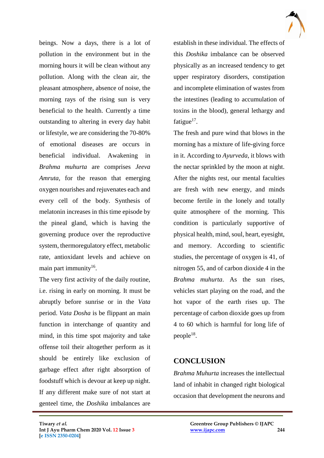

beings. Now a days, there is a lot of pollution in the environment but in the morning hours it will be clean without any pollution. Along with the clean air, the pleasant atmosphere, absence of noise, the morning rays of the rising sun is very beneficial to the health. Currently a time outstanding to altering in every day habit or lifestyle, we are considering the 70-80% of emotional diseases are occurs in beneficial individual. Awakening in *Brahma muhurta* are comprises *Jeeva Amruta*, for the reason that emerging oxygen nourishes and rejuvenates each and every cell of the body. Synthesis of melatonin increases in this time episode by the pineal gland, which is having the governing produce over the reproductive system, thermoregulatory effect, metabolic rate, antioxidant levels and achieve on main part immunity<sup>16</sup>.

The very first activity of the daily routine, i.e. rising in early on morning. It must be abruptly before sunrise or in the *Vata*  period. *Vata Dosha* is be flippant an main function in interchange of quantity and mind, in this time spot majority and take offense toil their altogether perform as it should be entirely like exclusion of garbage effect after right absorption of foodstuff which is devour at keep up night. If any different make sure of not start at genteel time, the *Doshika* imbalances are

establish in these individual. The effects of this *Doshika* imbalance can be observed physically as an increased tendency to get upper respiratory disorders, constipation and incomplete elimination of wastes from the intestines (leading to accumulation of toxins in the blood), general lethargy and fatigue $^{17}$ .

The fresh and pure wind that blows in the morning has a mixture of life-giving force in it. According to *Ayurveda*, it blows with the nectar sprinkled by the moon at night. After the nights rest, our mental faculties are fresh with new energy, and minds become fertile in the lonely and totally quite atmosphere of the morning. This condition is particularly supportive of physical health, mind, soul, heart, eyesight, and memory. According to scientific studies, the percentage of oxygen is 41, of nitrogen 55, and of carbon dioxide 4 in the *Brahma muhurta*. As the sun rises, vehicles start playing on the road, and the hot vapor of the earth rises up. The percentage of carbon dioxide goes up from 4 to 60 which is harmful for long life of  $people^{18}$ .

## **CONCLUSION**

 $\mathcal{L}_\mathcal{L}$  , and the contribution of the contribution of the contribution of the contribution of the contribution of the contribution of the contribution of the contribution of the contribution of the contribution of

*Brahma Muhurta* increases the intellectual land of inhabit in changed right biological occasion that development the neurons and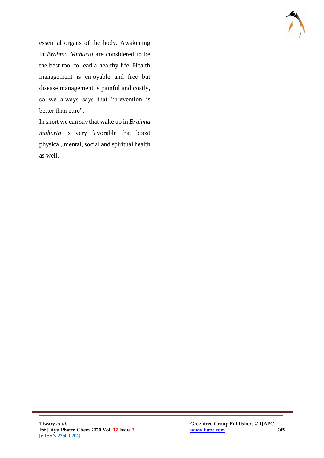

essential organs of the body. Awakening in *Brahma Muhurta* are considered to be the best tool to lead a healthy life. Health management is enjoyable and free but disease management is painful and costly, so we always says that "prevention is better than cure".

In short we can say that wake up in *Brahma muhurta* is very favorable that boost physical, mental, social and spiritual health as well.

 $\mathcal{L}_\mathcal{L}$  , and the contribution of the contribution of the contribution of the contribution of the contribution of the contribution of the contribution of the contribution of the contribution of the contribution of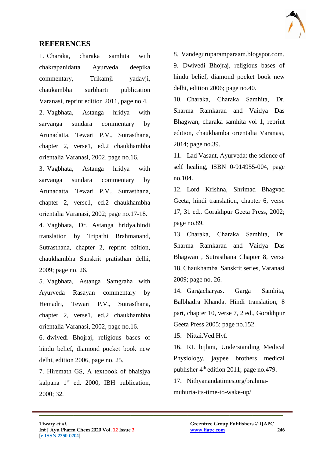

### **REFERENCES**

1. Charaka, charaka samhita with chakrapanidatta Ayurveda deepika commentary, Trikamji yadavji, chaukambha surbharti publication Varanasi, reprint edition 2011, page no.4. 2. Vagbhata, Astanga hridya with sarvanga sundara commentary by Arunadatta, Tewari P.V., Sutrasthana, chapter 2, verse1, ed.2 chaukhambha orientalia Varanasi, 2002, page no.16.

3. Vagbhata, Astanga hridya with sarvanga sundara commentary by Arunadatta, Tewari P.V., Sutrasthana, chapter 2, verse1, ed.2 chaukhambha orientalia Varanasi, 2002; page no.17-18.

4. Vagbhata, Dr. Astanga hridya,hindi translation by Tripathi Brahmanand, Sutrasthana, chapter 2, reprint edition, chaukhambha Sanskrit pratisthan delhi, 2009; page no. 26.

5. Vagbhata, Astanga Samgraha with Ayurveda Rasayan commentary by Hemadri, Tewari P.V., Sutrasthana, chapter 2, verse1, ed.2 chaukhambha orientalia Varanasi, 2002, page no.16.

6. dwivedi Bhojraj, religious bases of hindu belief, diamond pocket book new delhi, edition 2006, page no. 25.

7. Hiremath GS, A textbook of bhaisjya kalpana  $1<sup>st</sup>$  ed. 2000, IBH publication, 2000; 32.

8. Vandeguruparamparaam.blogspot.com. 9. Dwivedi Bhojraj, religious bases of hindu belief, diamond pocket book new delhi, edition 2006; page no.40.

10. Charaka, Charaka Samhita, Dr. Sharma Ramkaran and Vaidya Das Bhagwan, charaka samhita vol 1, reprint edition, chaukhamba orientalia Varanasi, 2014; page no.39.

11. Lad Vasant, Ayurveda: the science of self healing, ISBN 0-914955-004, page no.104.

12. Lord Krishna, Shrimad Bhagvad Geeta, hindi translation, chapter 6, verse 17, 31 ed., Gorakhpur Geeta Press, 2002; page no.89.

13. Charaka, Charaka Samhita, Dr. Sharma Ramkaran and Vaidya Das Bhagwan , Sutrasthana Chapter 8, verse 18, Chaukhamba Sanskrit series, Varanasi 2009; page no. 26.

14. Gargacharyas. Garga Samhita, Balbhadra Khanda. Hindi translation, 8 part, chapter 10, verse 7, 2 ed., Gorakhpur Geeta Press 2005; page no.152.

15. Nittai.Ved.Hyf.

 $\mathcal{L}_\mathcal{L}$  , and the contribution of the contribution of the contribution of the contribution of the contribution of the contribution of the contribution of the contribution of the contribution of the contribution of

16. RL bijlani, Understanding Medical Physiology, jaypee brothers medical publisher  $4<sup>th</sup>$  edition 2011; page no.479.

17. Nithyanandatimes.org/brahmamuhurta-its-time-to-wake-up/